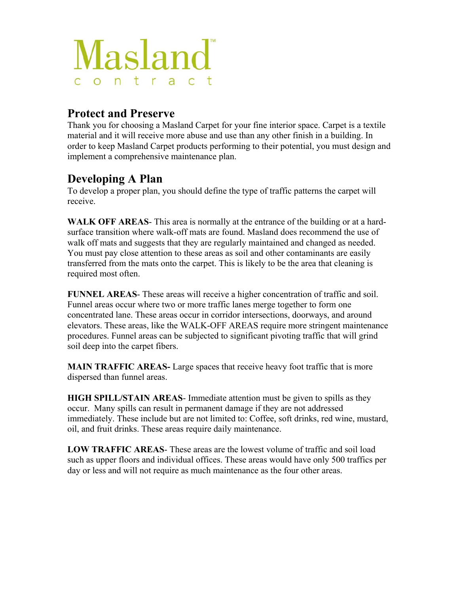

### **Protect and Preserve**

Thank you for choosing a Masland Carpet for your fine interior space. Carpet is a textile material and it will receive more abuse and use than any other finish in a building. In order to keep Masland Carpet products performing to their potential, you must design and implement a comprehensive maintenance plan.

## **Developing A Plan**

To develop a proper plan, you should define the type of traffic patterns the carpet will receive.

**WALK OFF AREAS**- This area is normally at the entrance of the building or at a hardsurface transition where walk-off mats are found. Masland does recommend the use of walk off mats and suggests that they are regularly maintained and changed as needed. You must pay close attention to these areas as soil and other contaminants are easily transferred from the mats onto the carpet. This is likely to be the area that cleaning is required most often.

**FUNNEL AREAS**- These areas will receive a higher concentration of traffic and soil. Funnel areas occur where two or more traffic lanes merge together to form one concentrated lane. These areas occur in corridor intersections, doorways, and around elevators. These areas, like the WALK-OFF AREAS require more stringent maintenance procedures. Funnel areas can be subjected to significant pivoting traffic that will grind soil deep into the carpet fibers.

**MAIN TRAFFIC AREAS-** Large spaces that receive heavy foot traffic that is more dispersed than funnel areas.

**HIGH SPILL/STAIN AREAS**- Immediate attention must be given to spills as they occur. Many spills can result in permanent damage if they are not addressed immediately. These include but are not limited to: Coffee, soft drinks, red wine, mustard, oil, and fruit drinks. These areas require daily maintenance.

**LOW TRAFFIC AREAS**- These areas are the lowest volume of traffic and soil load such as upper floors and individual offices. These areas would have only 500 traffics per day or less and will not require as much maintenance as the four other areas.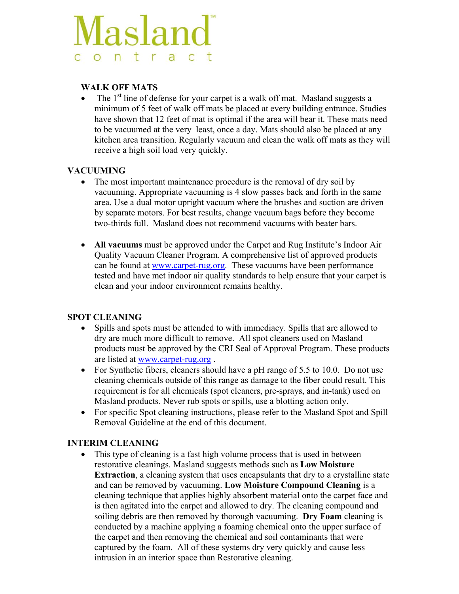# **Masland** contrac

#### **WALK OFF MATS**

• The  $1<sup>st</sup>$  line of defense for your carpet is a walk off mat. Masland suggests a minimum of 5 feet of walk off mats be placed at every building entrance. Studies have shown that 12 feet of mat is optimal if the area will bear it. These mats need to be vacuumed at the very least, once a day. Mats should also be placed at any kitchen area transition. Regularly vacuum and clean the walk off mats as they will receive a high soil load very quickly.

#### **VACUUMING**

- The most important maintenance procedure is the removal of dry soil by vacuuming. Appropriate vacuuming is 4 slow passes back and forth in the same area. Use a dual motor upright vacuum where the brushes and suction are driven by separate motors. For best results, change vacuum bags before they become two-thirds full. Masland does not recommend vacuums with beater bars.
- All vacuums must be approved under the Carpet and Rug Institute's Indoor Air Quality Vacuum Cleaner Program. A comprehensive list of approved products can be found at [www.carpet-rug.org.](http://www.carpet-rug.org/) These vacuums have been performance tested and have met indoor air quality standards to help ensure that your carpet is clean and your indoor environment remains healthy.

#### **SPOT CLEANING**

- Spills and spots must be attended to with immediacy. Spills that are allowed to dry are much more difficult to remove. All spot cleaners used on Masland products must be approved by the CRI Seal of Approval Program. These products are listed at [www.carpet-rug.org](http://www.carpet-rug.org/) .
- For Synthetic fibers, cleaners should have a pH range of  $5.5$  to 10.0. Do not use cleaning chemicals outside of this range as damage to the fiber could result. This requirement is for all chemicals (spot cleaners, pre-sprays, and in-tank) used on Masland products. Never rub spots or spills, use a blotting action only.
- For specific Spot cleaning instructions, please refer to the Masland Spot and Spill Removal Guideline at the end of this document.

#### **INTERIM CLEANING**

• This type of cleaning is a fast high volume process that is used in between restorative cleanings. Masland suggests methods such as **Low Moisture Extraction**, a cleaning system that uses encapsulants that dry to a crystalline state and can be removed by vacuuming. **Low Moisture Compound Cleaning** is a cleaning technique that applies highly absorbent material onto the carpet face and is then agitated into the carpet and allowed to dry. The cleaning compound and soiling debris are then removed by thorough vacuuming. **Dry Foam** cleaning is conducted by a machine applying a foaming chemical onto the upper surface of the carpet and then removing the chemical and soil contaminants that were captured by the foam. All of these systems dry very quickly and cause less intrusion in an interior space than Restorative cleaning.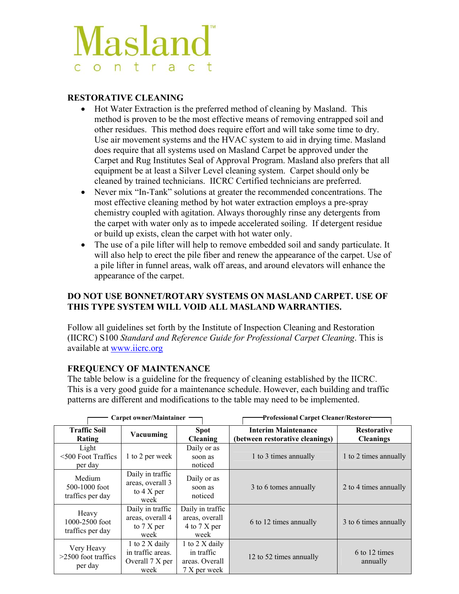# Masland ontrac

#### **RESTORATIVE CLEANING**

- Hot Water Extraction is the preferred method of cleaning by Masland. This method is proven to be the most effective means of removing entrapped soil and other residues. This method does require effort and will take some time to dry. Use air movement systems and the HVAC system to aid in drying time. Masland does require that all systems used on Masland Carpet be approved under the Carpet and Rug Institutes Seal of Approval Program. Masland also prefers that all equipment be at least a Silver Level cleaning system. Carpet should only be cleaned by trained technicians. IICRC Certified technicians are preferred.
- Never mix "In-Tank" solutions at greater the recommended concentrations. The most effective cleaning method by hot water extraction employs a pre-spray chemistry coupled with agitation. Always thoroughly rinse any detergents from the carpet with water only as to impede accelerated soiling. If detergent residue or build up exists, clean the carpet with hot water only.
- The use of a pile lifter will help to remove embedded soil and sandy particulate. It will also help to erect the pile fiber and renew the appearance of the carpet. Use of a pile lifter in funnel areas, walk off areas, and around elevators will enhance the appearance of the carpet.

#### **DO NOT USE BONNET/ROTARY SYSTEMS ON MASLAND CARPET. USE OF THIS TYPE SYSTEM WILL VOID ALL MASLAND WARRANTIES.**

Follow all guidelines set forth by the Institute of Inspection Cleaning and Restoration (IICRC) S100 *Standard and Reference Guide for Professional Carpet Cleaning*. This is available at [www.iicrc.org](http://www.iicrc.org/)

#### **FREQUENCY OF MAINTENANCE**

The table below is a guideline for the frequency of cleaning established by the IICRC. This is a very good guide for a maintenance schedule. However, each building and traffic patterns are different and modifications to the table may need to be implemented.

|                                                 | <b>Carpet owner/Maintainer</b>                                       |                                                                | Professional Carpet Cleaner/Restorer-                         |                                        |  |
|-------------------------------------------------|----------------------------------------------------------------------|----------------------------------------------------------------|---------------------------------------------------------------|----------------------------------------|--|
| <b>Traffic Soil</b><br>Rating                   | Vacuuming                                                            | <b>Spot</b><br><b>Cleaning</b>                                 | <b>Interim Maintenance</b><br>(between restorative cleanings) | <b>Restorative</b><br><b>Cleanings</b> |  |
| Light<br>$\leq 500$ Foot Traffics<br>per day    | 1 to 2 per week                                                      | Daily or as<br>soon as<br>noticed                              | 1 to 3 times annually                                         | 1 to 2 times annually                  |  |
| Medium<br>$500 - 1000$ foot<br>traffics per day | Daily in traffic<br>areas, overall 3<br>to $4 \text{ X per}$<br>week | Daily or as<br>soon as<br>noticed                              | 3 to 6 tomes annually                                         | 2 to 4 times annually                  |  |
| Heavy<br>1000-2500 foot<br>traffics per day     | Daily in traffic<br>areas, overall 4<br>to $7 X per$<br>week         | Daily in traffic<br>areas, overall<br>4 to 7 X per<br>week     | 6 to 12 times annually                                        | 3 to 6 times annually                  |  |
| Very Heavy<br>$>2500$ foot traffics<br>per day  | 1 to 2 X daily<br>in traffic areas.<br>Overall 7 X per<br>week       | 1 to 2 X daily<br>in traffic<br>areas. Overall<br>7 X per week | 12 to 52 times annually                                       | 6 to 12 times<br>annually              |  |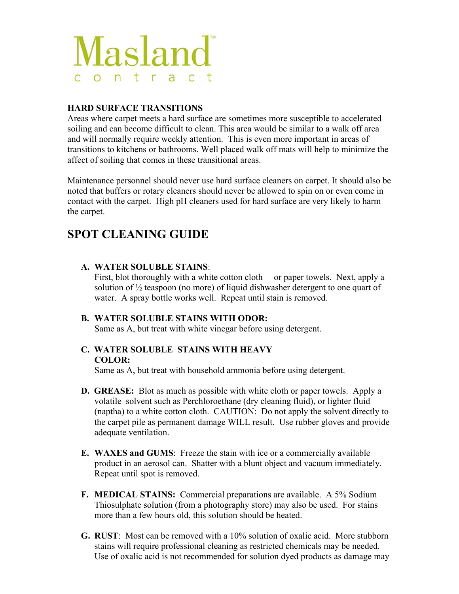

#### **HARD SURFACE TRANSITIONS**

Areas where carpet meets a hard surface are sometimes more susceptible to accelerated soiling and can become difficult to clean. This area would be similar to a walk off area and will normally require weekly attention. This is even more important in areas of transitions to kitchens or bathrooms. Well placed walk off mats will help to minimize the affect of soiling that comes in these transitional areas.

Maintenance personnel should never use hard surface cleaners on carpet. It should also be noted that buffers or rotary cleaners should never be allowed to spin on or even come in contact with the carpet. High pH cleaners used for hard surface are very likely to harm the carpet.

## **SPOT CLEANING GUIDE**

#### **A. WATER SOLUBLE STAINS**:

First, blot thoroughly with a white cotton cloth or paper towels. Next, apply a solution of ½ teaspoon (no more) of liquid dishwasher detergent to one quart of water. A spray bottle works well. Repeat until stain is removed.

#### **B. WATER SOLUBLE STAINS WITH ODOR:**

Same as A, but treat with white vinegar before using detergent.

#### **C. WATER SOLUBLE STAINS WITH HEAVY COLOR:**

Same as A, but treat with household ammonia before using detergent.

- **D. GREASE:** Blot as much as possible with white cloth or paper towels. Apply a volatile solvent such as Perchloroethane (dry cleaning fluid), or lighter fluid (naptha) to a white cotton cloth. CAUTION: Do not apply the solvent directly to the carpet pile as permanent damage WILL result. Use rubber gloves and provide adequate ventilation.
- **E. WAXES and GUMS**: Freeze the stain with ice or a commercially available product in an aerosol can. Shatter with a blunt object and vacuum immediately. Repeat until spot is removed.
- **F. MEDICAL STAINS:** Commercial preparations are available. A 5% Sodium Thiosulphate solution (from a photography store) may also be used. For stains more than a few hours old, this solution should be heated.
- **G. RUST**: Most can be removed with a 10% solution of oxalic acid. More stubborn stains will require professional cleaning as restricted chemicals may be needed. Use of oxalic acid is not recommended for solution dyed products as damage may